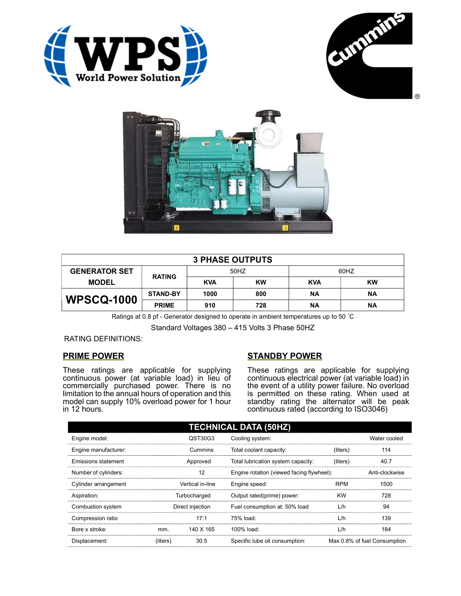





| <b>3 PHASE OUTPUTS</b> |                 |            |           |            |           |
|------------------------|-----------------|------------|-----------|------------|-----------|
| <b>GENERATOR SET</b>   | <b>RATING</b>   | 50HZ       |           | 60HZ       |           |
| <b>MODEL</b>           |                 | <b>KVA</b> | <b>KW</b> | <b>KVA</b> | <b>KW</b> |
| <b>WPSCQ-1000</b>      | <b>STAND-BY</b> | 1000       | 800       | ΝA         | <b>NA</b> |
|                        | <b>PRIME</b>    | 910        | 728       | ΝA         | <b>NA</b> |

Ratings at 0.8 pf - Generator designed to operate in ambient temperatures up to 50 °C

Standard Voltages 380 – 415 Volts 3 Phase 50HZ

RATING DEFINITIONS:

## PRIME POWER

These ratings are applicable for supplying continuous power (at variable load) in lieu of commercially purchased power. There is no limitation to the annual hours of operation and this model can supply 10% overload power for 1 hour in 12 hours.

## STANDBY POWER

These ratings are applicable for supplying continuous electrical power (at variable load) in the event of a utility power failure. No overload is permitted on these rating. When used at standby rating the alternator will be peak continuous rated (according to ISO3046)

| <b>TECHNICAL DATA (50HZ)</b> |                  |           |                                           |              |                              |
|------------------------------|------------------|-----------|-------------------------------------------|--------------|------------------------------|
| Engine model:                | QST30G3          |           | Cooling system:                           | Water cooled |                              |
| Engine manufacturer:         | Cummins          |           | Total coolant capacity:                   | (liters)     | 114                          |
| Emissions statement          | Approved         |           | Total lubrication system capacity:        | (liters)     | 40.7                         |
| Number of cylinders:         | 12               |           | Engine rotation (viewed facing flywheel): |              | Anti-clockwise               |
| Cylinder arrangement         | Vertical in-line |           | Engine speed:                             | <b>RPM</b>   | 1500                         |
| Aspiration:                  | Turbocharged     |           | Output rated(prime) power:                | <b>KW</b>    | 728                          |
| Combustion system            | Direct injection |           | Fuel consumption at: 50% load             | L/h          | 94                           |
| Compression ratio            |                  | 17:1      | 75% load:                                 | L/h          | 139                          |
| Bore x stroke:               | mm.              | 140 X 165 | 100% load:                                | L/h          | 184                          |
| Displacement:                | (liters)         | 30.5      | Specific lube oil consumption:            |              | Max 0.8% of fuel Consumption |